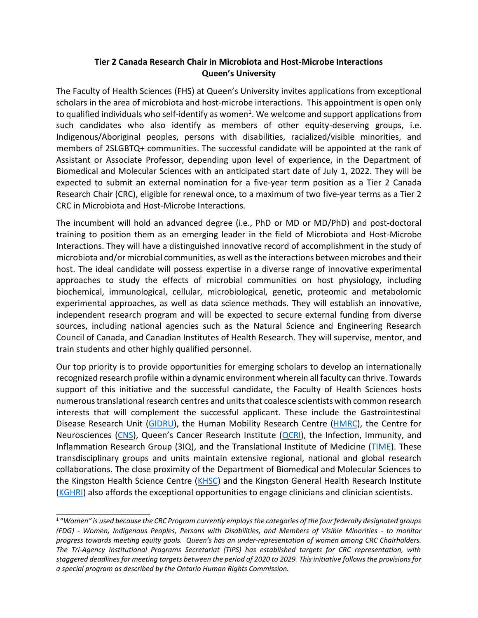## **Tier 2 Canada Research Chair in Microbiota and Host-Microbe Interactions Queen's University**

The Faculty of Health Sciences (FHS) at Queen's University invites applications from exceptional scholars in the area of microbiota and host-microbe interactions. This appointment is open only to qualified individuals who self-identify as women<sup>1</sup>. We welcome and support applications from such candidates who also identify as members of other equity-deserving groups, i.e. Indigenous/Aboriginal peoples, persons with disabilities, racialized/visible minorities, and members of 2SLGBTQ+ communities. The successful candidate will be appointed at the rank of Assistant or Associate Professor, depending upon level of experience, in the Department of Biomedical and Molecular Sciences with an anticipated start date of July 1, 2022. They will be expected to submit an external nomination for a five-year term position as a Tier 2 Canada Research Chair (CRC), eligible for renewal once, to a maximum of two five-year terms as a Tier 2 CRC in Microbiota and Host-Microbe Interactions.

The incumbent will hold an advanced degree (i.e., PhD or MD or MD/PhD) and post-doctoral training to position them as an emerging leader in the field of Microbiota and Host-Microbe Interactions. They will have a distinguished innovative record of accomplishment in the study of microbiota and/or microbial communities, as well asthe interactions between microbes and their host. The ideal candidate will possess expertise in a diverse range of innovative experimental approaches to study the effects of microbial communities on host physiology, including biochemical, immunological, cellular, microbiological, genetic, proteomic and metabolomic experimental approaches, as well as data science methods. They will establish an innovative, independent research program and will be expected to secure external funding from diverse sources, including national agencies such as the Natural Science and Engineering Research Council of Canada, and Canadian Institutes of Health Research. They will supervise, mentor, and train students and other highly qualified personnel.

Our top priority is to provide opportunities for emerging scholars to develop an internationally recognized research profile within a dynamic environment wherein all faculty can thrive. Towards support of this initiative and the successful candidate, the Faculty of Health Sciences hosts numerous translational research centres and units that coalesce scientists with common research interests that will complement the successful applicant. These include the Gastrointestinal Disease Research Unit [\(GIDRU\)](https://deptmed.queensu.ca/research/teams/gidru), the Human Mobility Research Centre [\(HMRC\)](https://www.queensu.ca/hmrc/home), the Centre for Neurosciences [\(CNS\)](http://neuroscience.queensu.ca/), Queen's Cancer Research Institute [\(QCRI\)](https://qcri.queensu.ca/), the Infection, Immunity, and Inflammation Research Group (3IQ), and the Translational Institute of Medicine [\(TIME\)](https://uniweb.time.queensu.ca/). These transdisciplinary groups and units maintain extensive regional, national and global research collaborations. The close proximity of the Department of Biomedical and Molecular Sciences to the Kingston Health Science Centre [\(KHSC\)](https://kingstonhsc.ca/) and the Kingston General Health Research Institute [\(KGHRI\)](https://kingstonhsc.ca/research) also affords the exceptional opportunities to engage clinicians and clinician scientists.

\_\_\_\_\_\_\_\_\_\_\_\_\_\_\_\_\_\_\_\_\_\_

<sup>1</sup> "*Women" is used because the CRC Program currently employs the categories of the four federally designated groups (FDG) - Women, Indigenous Peoples, Persons with Disabilities, and Members of Visible Minorities - to monitor progress towards meeting equity goals. Queen's has an under-representation of women among CRC Chairholders. The Tri-Agency Institutional Programs Secretariat (TIPS) has established targets for CRC representation, with staggered deadlines for meeting targets between the period of 2020 to 2029. This initiative follows the provisions for a special program as described by the Ontario Human Rights Commission.*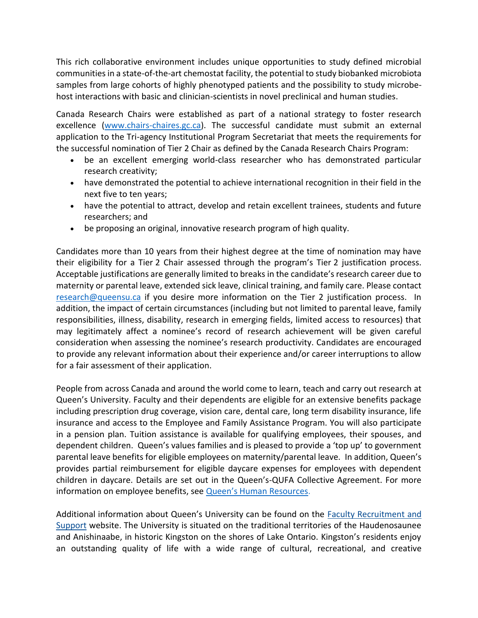This rich collaborative environment includes unique opportunities to study defined microbial communities in a state-of-the-art chemostat facility, the potential to study biobanked microbiota samples from large cohorts of highly phenotyped patients and the possibility to study microbehost interactions with basic and clinician-scientists in novel preclinical and human studies.

Canada Research Chairs were established as part of a national strategy to foster research excellence [\(www.chairs-chaires.gc.ca\)](http://www.chairs-chaires.gc.ca/). The successful candidate must submit an external application to the Tri-agency Institutional Program Secretariat that meets the requirements for the successful nomination of Tier 2 Chair as defined by the Canada Research Chairs Program:

- be an excellent emerging world-class researcher who has demonstrated particular research creativity;
- have demonstrated the potential to achieve international recognition in their field in the next five to ten years;
- have the potential to attract, develop and retain excellent trainees, students and future researchers; and
- be proposing an original, innovative research program of high quality.

Candidates more than 10 years from their highest degree at the time of nomination may have their eligibility for a Tier 2 Chair assessed through the program's Tier 2 justification process. Acceptable justifications are generally limited to breaks in the candidate's research career due to maternity or parental leave, extended sick leave, clinical training, and family care. Please contact [research@queensu.ca](file:///C:/Users/currana/AppData/Local/Microsoft/Windows/INetCache/Content.Outlook/TP06NXJC/research@queensu.ca) if you desire more information on the Tier 2 justification process. In addition, the impact of certain circumstances (including but not limited to parental leave, family responsibilities, illness, disability, research in emerging fields, limited access to resources) that may legitimately affect a nominee's record of research achievement will be given careful consideration when assessing the nominee's research productivity. Candidates are encouraged to provide any relevant information about their experience and/or career interruptions to allow for a fair assessment of their application.

People from across Canada and around the world come to learn, teach and carry out research at Queen's University. Faculty and their dependents are eligible for an extensive benefits package including prescription drug coverage, vision care, dental care, long term disability insurance, life insurance and access to the Employee and Family Assistance Program. You will also participate in a pension plan. Tuition assistance is available for qualifying employees, their spouses, and dependent children. Queen's values families and is pleased to provide a 'top up' to government parental leave benefits for eligible employees on maternity/parental leave. In addition, Queen's provides partial reimbursement for eligible daycare expenses for employees with dependent children in daycare. Details are set out in the Queen's-QUFA Collective Agreement. For more information on employee benefits, see [Queen's Human Resources](http://www.queensu.ca/humanresources/).

Additional information about Queen's University can be found on the Faculty Recruitment and [Support](http://www.queensu.ca/facultyrecruitment) website. The University is situated on the traditional territories of the Haudenosaunee and Anishinaabe, in historic Kingston on the shores of Lake Ontario. Kingston's residents enjoy an outstanding quality of life with a wide range of cultural, recreational, and creative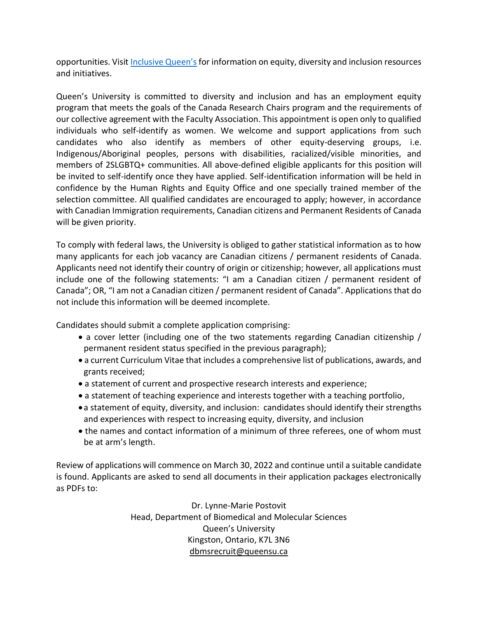opportunities. Visit [Inclusive Queen's](https://www.queensu.ca/inclusive/) for information on equity, diversity and inclusion resources and initiatives.

Queen's University is committed to diversity and inclusion and has an employment equity program that meets the goals of the Canada Research Chairs program and the requirements of our collective agreement with the Faculty Association. This appointment is open only to qualified individuals who self-identify as women. We welcome and support applications from such candidates who also identify as members of other equity-deserving groups, i.e. Indigenous/Aboriginal peoples, persons with disabilities, racialized/visible minorities, and members of 2SLGBTQ+ communities. All above-defined eligible applicants for this position will be invited to self-identify once they have applied. Self-identification information will be held in confidence by the Human Rights and Equity Office and one specially trained member of the selection committee. All qualified candidates are encouraged to apply; however, in accordance with Canadian Immigration requirements, Canadian citizens and Permanent Residents of Canada will be given priority.

To comply with federal laws, the University is obliged to gather statistical information as to how many applicants for each job vacancy are Canadian citizens / permanent residents of Canada. Applicants need not identify their country of origin or citizenship; however, all applications must include one of the following statements: "I am a Canadian citizen / permanent resident of Canada"; OR, "I am not a Canadian citizen / permanent resident of Canada". Applications that do not include this information will be deemed incomplete.

Candidates should submit a complete application comprising:

- a cover letter (including one of the two statements regarding Canadian citizenship / permanent resident status specified in the previous paragraph);
- a current Curriculum Vitae that includes a comprehensive list of publications, awards, and grants received;
- a statement of current and prospective research interests and experience;
- a statement of teaching experience and interests together with a teaching portfolio,
- a statement of equity, diversity, and inclusion: candidates should identify their strengths and experiences with respect to increasing equity, diversity, and inclusion
- the names and contact information of a minimum of three referees, one of whom must be at arm's length.

Review of applications will commence on March 30, 2022 and continue until a suitable candidate is found. Applicants are asked to send all documents in their application packages electronically as PDFs to:

> Dr. Lynne-Marie Postovit Head, Department of Biomedical and Molecular Sciences Queen's University Kingston, Ontario, K7L 3N6 [dbmsrecruit@queensu.ca](mailto:dbmsrecruit@queensu.ca)